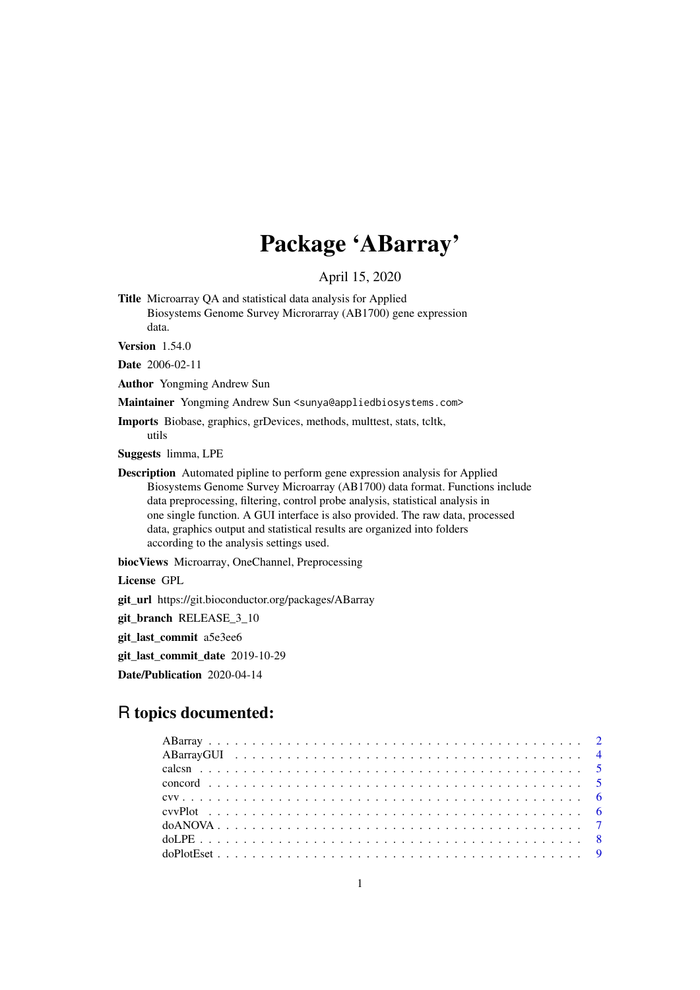# Package 'ABarray'

April 15, 2020

Title Microarray QA and statistical data analysis for Applied Biosystems Genome Survey Microrarray (AB1700) gene expression data.

**Version** 1.54.0

Date 2006-02-11

Author Yongming Andrew Sun

Maintainer Yongming Andrew Sun <sunya@appliedbiosystems.com>

Imports Biobase, graphics, grDevices, methods, multtest, stats, tcltk, utils

Suggests limma, LPE

Description Automated pipline to perform gene expression analysis for Applied Biosystems Genome Survey Microarray (AB1700) data format. Functions include data preprocessing, filtering, control probe analysis, statistical analysis in one single function. A GUI interface is also provided. The raw data, processed data, graphics output and statistical results are organized into folders according to the analysis settings used.

biocViews Microarray, OneChannel, Preprocessing

License GPL

git\_url https://git.bioconductor.org/packages/ABarray

git\_branch RELEASE\_3\_10

git\_last\_commit a5e3ee6

git\_last\_commit\_date 2019-10-29

Date/Publication 2020-04-14

# R topics documented: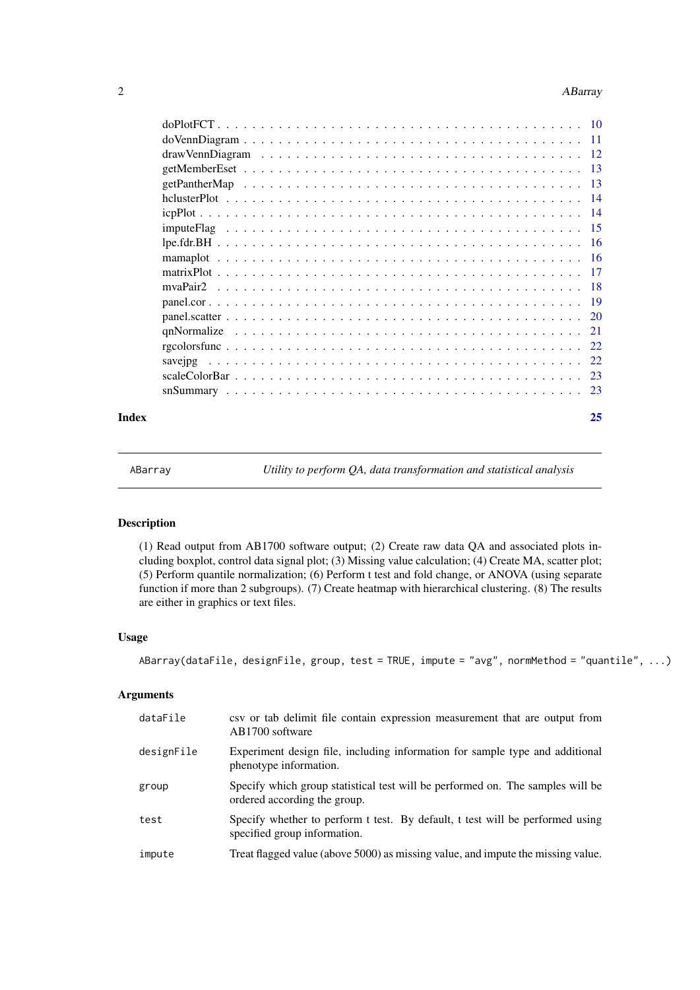#### <span id="page-1-0"></span>2 **ABarray**

|       | mvaPair <sub>2</sub> |    |
|-------|----------------------|----|
|       |                      |    |
|       |                      |    |
|       |                      |    |
|       |                      |    |
|       |                      |    |
|       |                      |    |
|       |                      |    |
| Index |                      | 25 |
|       |                      |    |

ABarray *Utility to perform QA, data transformation and statistical analysis*

# Description

(1) Read output from AB1700 software output; (2) Create raw data QA and associated plots including boxplot, control data signal plot; (3) Missing value calculation; (4) Create MA, scatter plot; (5) Perform quantile normalization; (6) Perform t test and fold change, or ANOVA (using separate function if more than 2 subgroups). (7) Create heatmap with hierarchical clustering. (8) The results are either in graphics or text files.

# Usage

ABarray(dataFile, designFile, group, test = TRUE, impute = "avg", normMethod = "quantile", ...)

#### Arguments

| dataFile   | csv or tab delimit file contain expression measurement that are output from<br>AB1700 software                 |
|------------|----------------------------------------------------------------------------------------------------------------|
| designFile | Experiment design file, including information for sample type and additional<br>phenotype information.         |
| group      | Specify which group statistical test will be performed on. The samples will be<br>ordered according the group. |
| test       | Specify whether to perform t test. By default, t test will be performed using<br>specified group information.  |
| impute     | Treat flagged value (above 5000) as missing value, and impute the missing value.                               |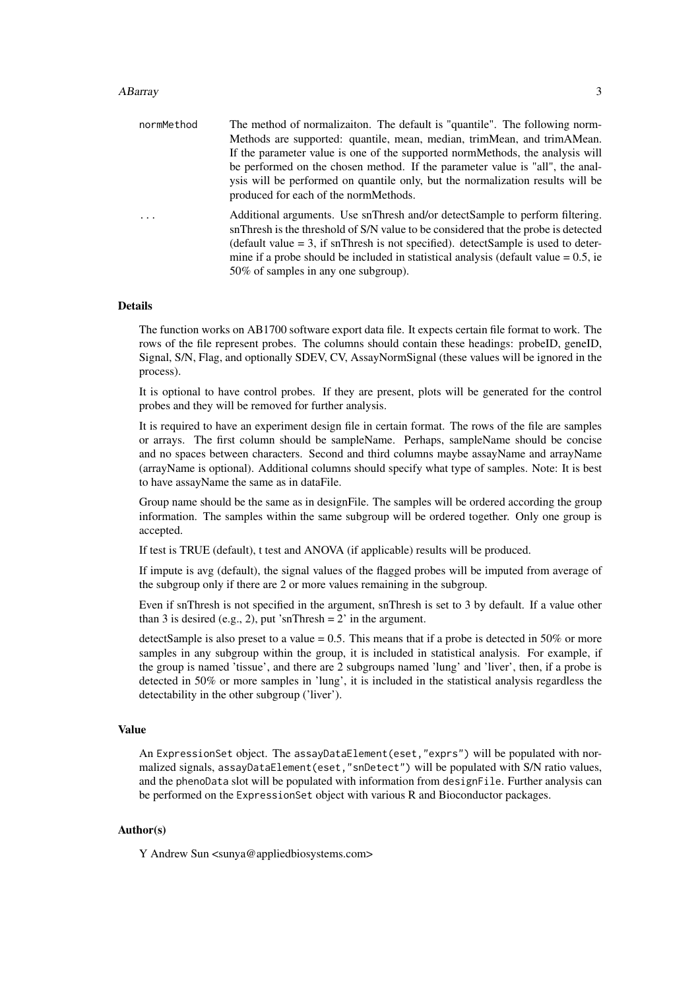#### ABarray 3

| normMethod | The method of normalization. The default is "quantile". The following norm-                                                                                                                                                                                                                                                                                                                 |
|------------|---------------------------------------------------------------------------------------------------------------------------------------------------------------------------------------------------------------------------------------------------------------------------------------------------------------------------------------------------------------------------------------------|
|            | Methods are supported: quantile, mean, median, trimMean, and trimAMean.                                                                                                                                                                                                                                                                                                                     |
|            | If the parameter value is one of the supported normMethods, the analysis will                                                                                                                                                                                                                                                                                                               |
|            | be performed on the chosen method. If the parameter value is "all", the anal-                                                                                                                                                                                                                                                                                                               |
|            | ysis will be performed on quantile only, but the normalization results will be                                                                                                                                                                                                                                                                                                              |
|            | produced for each of the normMethods.                                                                                                                                                                                                                                                                                                                                                       |
|            | Additional arguments. Use snThresh and/or detectSample to perform filtering.<br>snThresh is the threshold of S/N value to be considered that the probe is detected<br>(default value $=$ 3, if snThresh is not specified). detectSample is used to deter-<br>mine if a probe should be included in statistical analysis (default value $= 0.5$ , ie<br>50% of samples in any one subgroup). |
|            |                                                                                                                                                                                                                                                                                                                                                                                             |

#### Details

The function works on AB1700 software export data file. It expects certain file format to work. The rows of the file represent probes. The columns should contain these headings: probeID, geneID, Signal, S/N, Flag, and optionally SDEV, CV, AssayNormSignal (these values will be ignored in the process).

It is optional to have control probes. If they are present, plots will be generated for the control probes and they will be removed for further analysis.

It is required to have an experiment design file in certain format. The rows of the file are samples or arrays. The first column should be sampleName. Perhaps, sampleName should be concise and no spaces between characters. Second and third columns maybe assayName and arrayName (arrayName is optional). Additional columns should specify what type of samples. Note: It is best to have assayName the same as in dataFile.

Group name should be the same as in designFile. The samples will be ordered according the group information. The samples within the same subgroup will be ordered together. Only one group is accepted.

If test is TRUE (default), t test and ANOVA (if applicable) results will be produced.

If impute is avg (default), the signal values of the flagged probes will be imputed from average of the subgroup only if there are 2 or more values remaining in the subgroup.

Even if snThresh is not specified in the argument, snThresh is set to 3 by default. If a value other than 3 is desired (e.g., 2), put 'snThresh =  $2'$  in the argument.

detectSample is also preset to a value  $= 0.5$ . This means that if a probe is detected in 50% or more samples in any subgroup within the group, it is included in statistical analysis. For example, if the group is named 'tissue', and there are 2 subgroups named 'lung' and 'liver', then, if a probe is detected in 50% or more samples in 'lung', it is included in the statistical analysis regardless the detectability in the other subgroup ('liver').

#### Value

An ExpressionSet object. The assayDataElement(eset,"exprs") will be populated with normalized signals, assayDataElement(eset,"snDetect") will be populated with S/N ratio values, and the phenoData slot will be populated with information from designFile. Further analysis can be performed on the ExpressionSet object with various R and Bioconductor packages.

#### Author(s)

Y Andrew Sun <sunya@appliedbiosystems.com>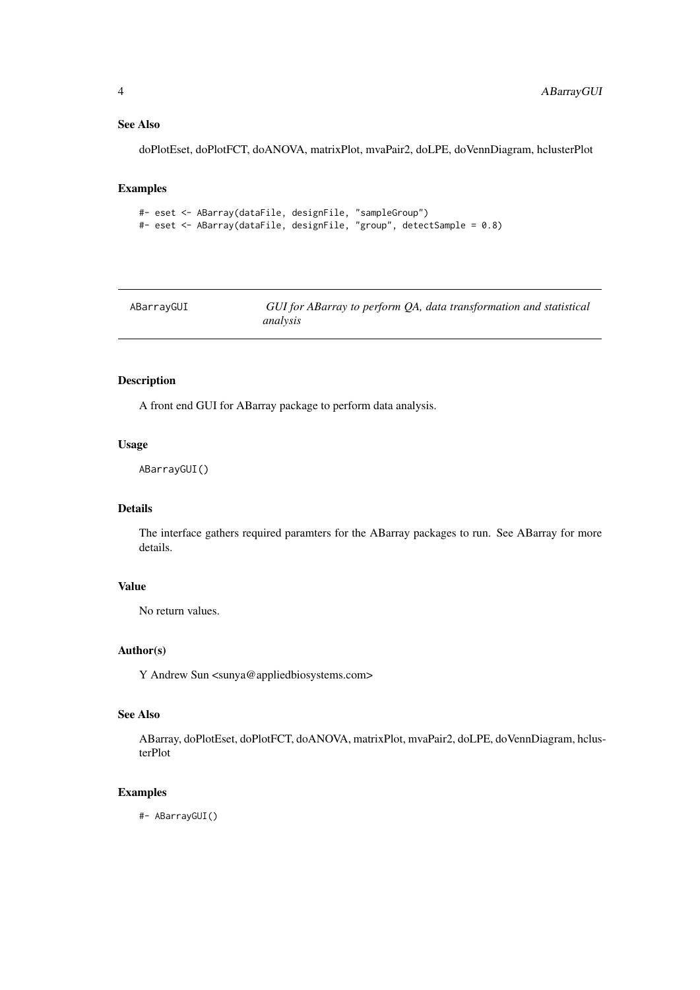### <span id="page-3-0"></span>See Also

doPlotEset, doPlotFCT, doANOVA, matrixPlot, mvaPair2, doLPE, doVennDiagram, hclusterPlot

#### Examples

```
#- eset <- ABarray(dataFile, designFile, "sampleGroup")
#- eset <- ABarray(dataFile, designFile, "group", detectSample = 0.8)
```

| ABarrayGUI | GUI for ABarray to perform QA, data transformation and statistical |  |
|------------|--------------------------------------------------------------------|--|
|            | analysis                                                           |  |

# Description

A front end GUI for ABarray package to perform data analysis.

### Usage

ABarrayGUI()

# Details

The interface gathers required paramters for the ABarray packages to run. See ABarray for more details.

# Value

No return values.

### Author(s)

Y Andrew Sun <sunya@appliedbiosystems.com>

# See Also

ABarray, doPlotEset, doPlotFCT, doANOVA, matrixPlot, mvaPair2, doLPE, doVennDiagram, hclusterPlot

#### Examples

#- ABarrayGUI()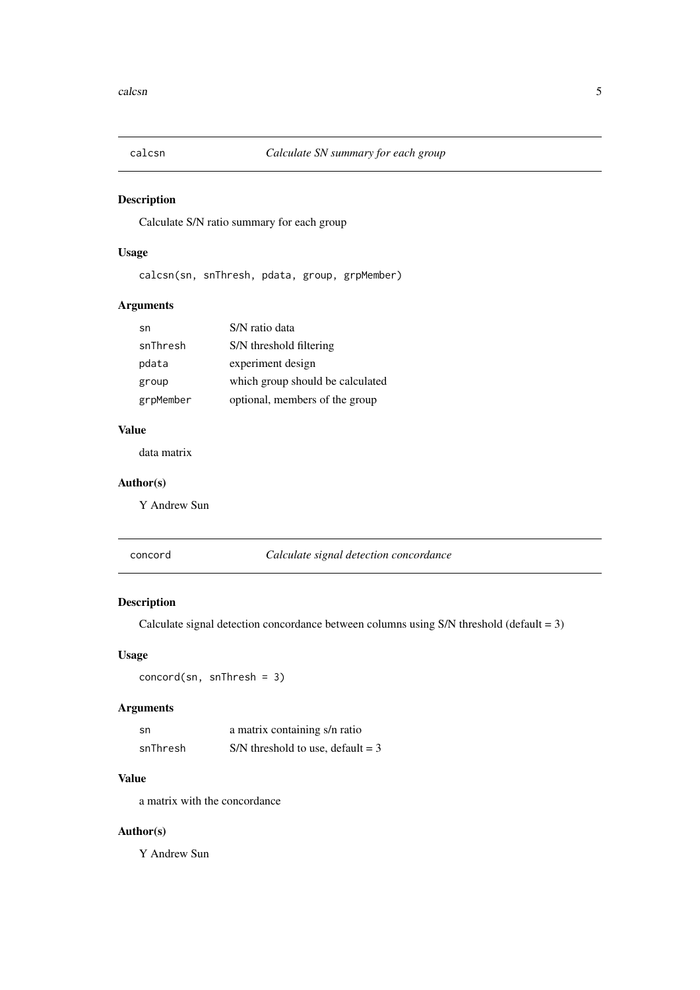<span id="page-4-0"></span>

Calculate S/N ratio summary for each group

# Usage

```
calcsn(sn, snThresh, pdata, group, grpMember)
```
# Arguments

| sn        | S/N ratio data                   |
|-----------|----------------------------------|
| snThresh  | S/N threshold filtering          |
| pdata     | experiment design                |
| group     | which group should be calculated |
| grpMember | optional, members of the group   |

#### Value

data matrix

# Author(s)

Y Andrew Sun

concord *Calculate signal detection concordance*

# Description

Calculate signal detection concordance between columns using S/N threshold (default = 3)

#### Usage

concord(sn, snThresh = 3)

# Arguments

| sn       | a matrix containing s/n ratio       |
|----------|-------------------------------------|
| snThresh | S/N threshold to use, default = $3$ |

# Value

a matrix with the concordance

# Author(s)

Y Andrew Sun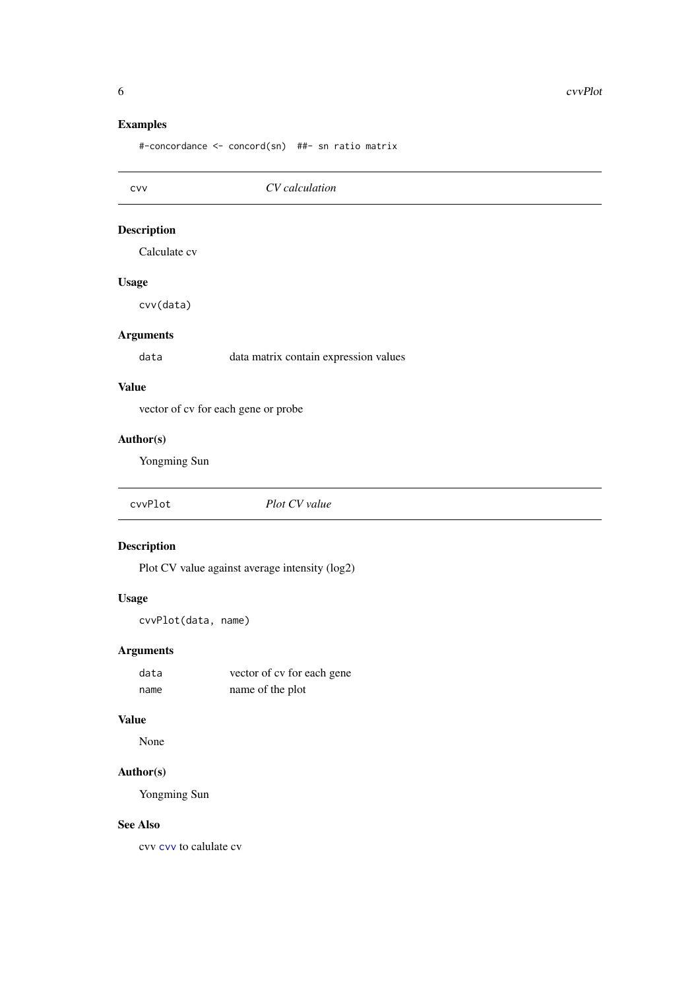# Examples

#-concordance <- concord(sn) ##- sn ratio matrix

<span id="page-5-1"></span>

| CVV                | CV calculation                                 |
|--------------------|------------------------------------------------|
| <b>Description</b> |                                                |
| Calculate cv       |                                                |
| <b>Usage</b>       |                                                |
| cvv(data)          |                                                |
| <b>Arguments</b>   |                                                |
| data               | data matrix contain expression values          |
| <b>Value</b>       |                                                |
|                    | vector of cv for each gene or probe            |
| Author(s)          |                                                |
| Yongming Sun       |                                                |
| cvvPlot            | Plot CV value                                  |
| <b>Description</b> |                                                |
|                    | Plot CV value against average intensity (log2) |

# Usage

cvvPlot(data, name)

# Arguments

| data | vector of cy for each gene |
|------|----------------------------|
| name | name of the plot           |

#### Value

None

# Author(s)

Yongming Sun

# See Also

cvv [cvv](#page-5-1) to calulate cv

<span id="page-5-0"></span>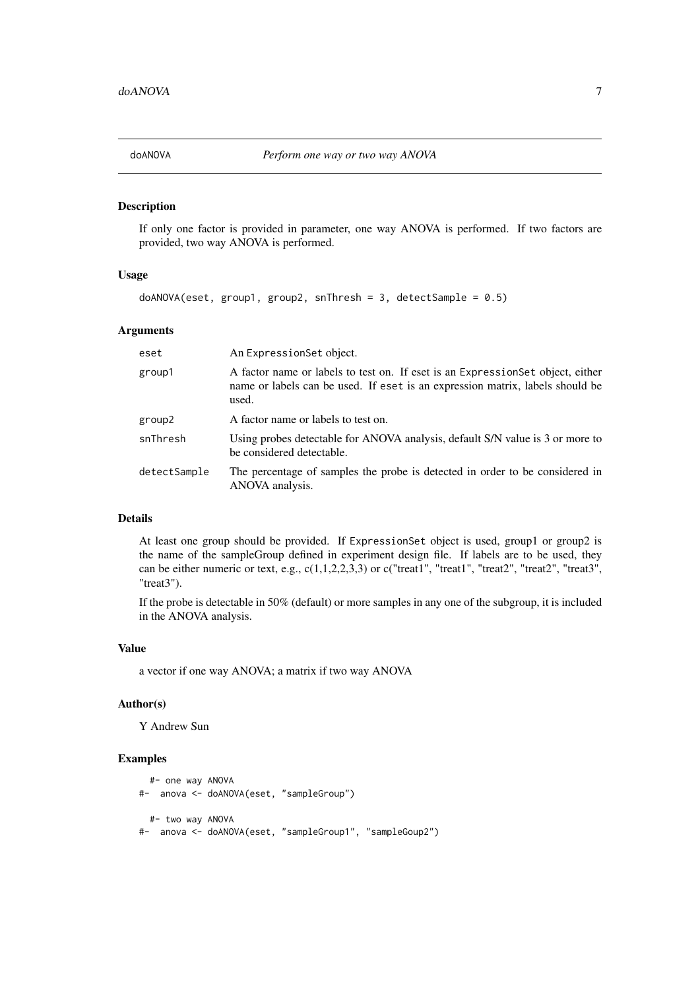<span id="page-6-0"></span>

If only one factor is provided in parameter, one way ANOVA is performed. If two factors are provided, two way ANOVA is performed.

# Usage

```
doANOVA(eset, group1, group2, snThresh = 3, detectSample = 0.5)
```
#### Arguments

| eset         | An ExpressionSet object.                                                                                                                                                  |
|--------------|---------------------------------------------------------------------------------------------------------------------------------------------------------------------------|
| group1       | A factor name or labels to test on. If eset is an Expression Set object, either<br>name or labels can be used. If eset is an expression matrix, labels should be<br>used. |
| group2       | A factor name or labels to test on.                                                                                                                                       |
| snThresh     | Using probes detectable for ANOVA analysis, default S/N value is 3 or more to<br>be considered detectable.                                                                |
| detectSample | The percentage of samples the probe is detected in order to be considered in<br>ANOVA analysis.                                                                           |

#### Details

At least one group should be provided. If ExpressionSet object is used, group1 or group2 is the name of the sampleGroup defined in experiment design file. If labels are to be used, they can be either numeric or text, e.g., c(1,1,2,2,3,3) or c("treat1", "treat1", "treat2", "treat2", "treat3", "treat3").

If the probe is detectable in 50% (default) or more samples in any one of the subgroup, it is included in the ANOVA analysis.

#### Value

a vector if one way ANOVA; a matrix if two way ANOVA

#### Author(s)

Y Andrew Sun

#### Examples

```
#- one way ANOVA
#- anova <- doANOVA(eset, "sampleGroup")
 #- two way ANOVA
#- anova <- doANOVA(eset, "sampleGroup1", "sampleGoup2")
```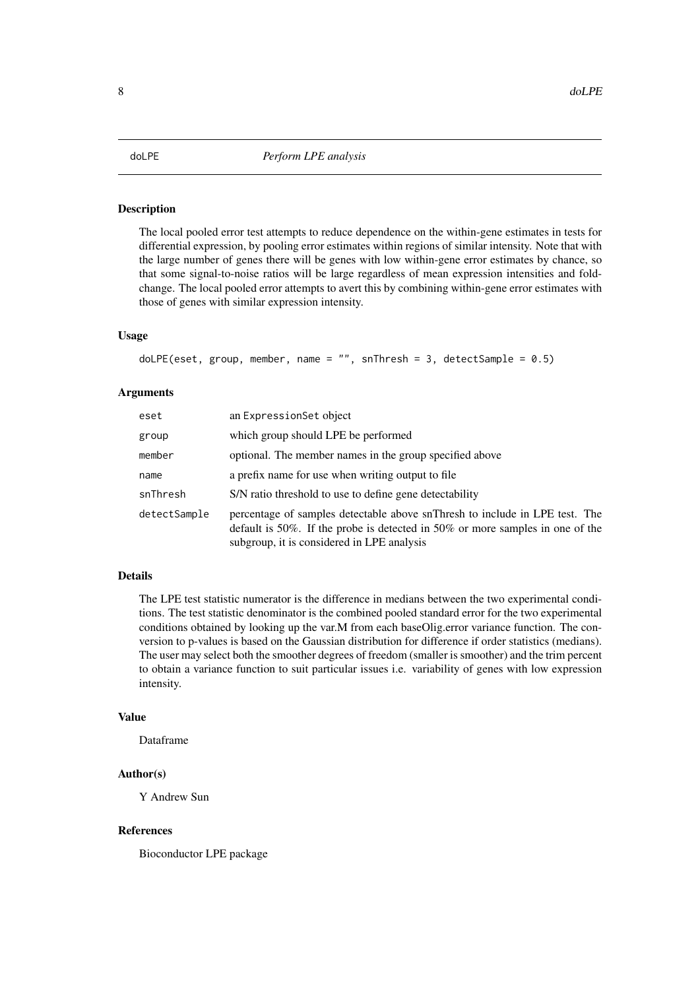<span id="page-7-0"></span>The local pooled error test attempts to reduce dependence on the within-gene estimates in tests for differential expression, by pooling error estimates within regions of similar intensity. Note that with the large number of genes there will be genes with low within-gene error estimates by chance, so that some signal-to-noise ratios will be large regardless of mean expression intensities and foldchange. The local pooled error attempts to avert this by combining within-gene error estimates with those of genes with similar expression intensity.

#### Usage

doLPE(eset, group, member, name =  $"$ , snThresh = 3, detectSample = 0.5)

#### Arguments

| eset         | an ExpressionSet object                                                                                                                                                                                    |
|--------------|------------------------------------------------------------------------------------------------------------------------------------------------------------------------------------------------------------|
| group        | which group should LPE be performed                                                                                                                                                                        |
| member       | optional. The member names in the group specified above                                                                                                                                                    |
| name         | a prefix name for use when writing output to file.                                                                                                                                                         |
| snThresh     | S/N ratio threshold to use to define gene detectability                                                                                                                                                    |
| detectSample | percentage of samples detectable above snThresh to include in LPE test. The<br>default is 50%. If the probe is detected in 50% or more samples in one of the<br>subgroup, it is considered in LPE analysis |

#### Details

The LPE test statistic numerator is the difference in medians between the two experimental conditions. The test statistic denominator is the combined pooled standard error for the two experimental conditions obtained by looking up the var.M from each baseOlig.error variance function. The conversion to p-values is based on the Gaussian distribution for difference if order statistics (medians). The user may select both the smoother degrees of freedom (smaller is smoother) and the trim percent to obtain a variance function to suit particular issues i.e. variability of genes with low expression intensity.

#### Value

Dataframe

# Author(s)

Y Andrew Sun

#### References

Bioconductor LPE package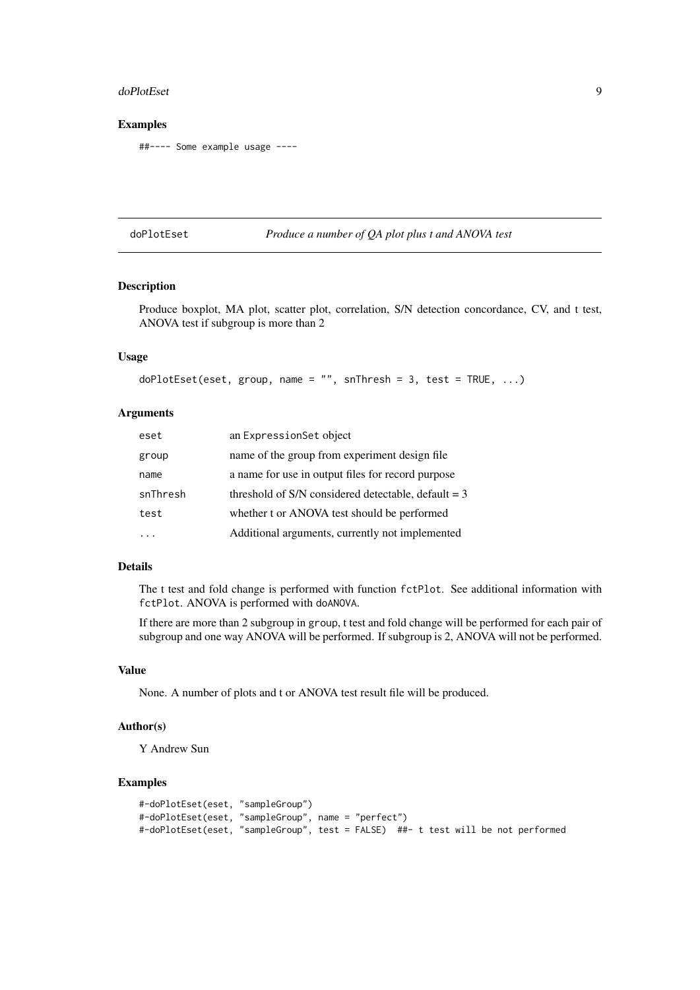#### <span id="page-8-0"></span>doPlotEset 99

#### Examples

##---- Some example usage ----

doPlotEset *Produce a number of QA plot plus t and ANOVA test*

#### Description

Produce boxplot, MA plot, scatter plot, correlation, S/N detection concordance, CV, and t test, ANOVA test if subgroup is more than 2

# Usage

```
doPlotEset(eset, group, name = "", snThresh = 3, test = TRUE, ...)
```
#### Arguments

| eset     | an ExpressionSet object                               |
|----------|-------------------------------------------------------|
| group    | name of the group from experiment design file         |
| name     | a name for use in output files for record purpose     |
| snThresh | threshold of S/N considered detectable, default $=$ 3 |
| test     | whether t or ANOVA test should be performed           |
|          | Additional arguments, currently not implemented       |

#### Details

The t test and fold change is performed with function fctPlot. See additional information with fctPlot. ANOVA is performed with doANOVA.

If there are more than 2 subgroup in group, t test and fold change will be performed for each pair of subgroup and one way ANOVA will be performed. If subgroup is 2, ANOVA will not be performed.

#### Value

None. A number of plots and t or ANOVA test result file will be produced.

#### Author(s)

Y Andrew Sun

#### Examples

```
#-doPlotEset(eset, "sampleGroup")
#-doPlotEset(eset, "sampleGroup", name = "perfect")
#-doPlotEset(eset, "sampleGroup", test = FALSE) ##- t test will be not performed
```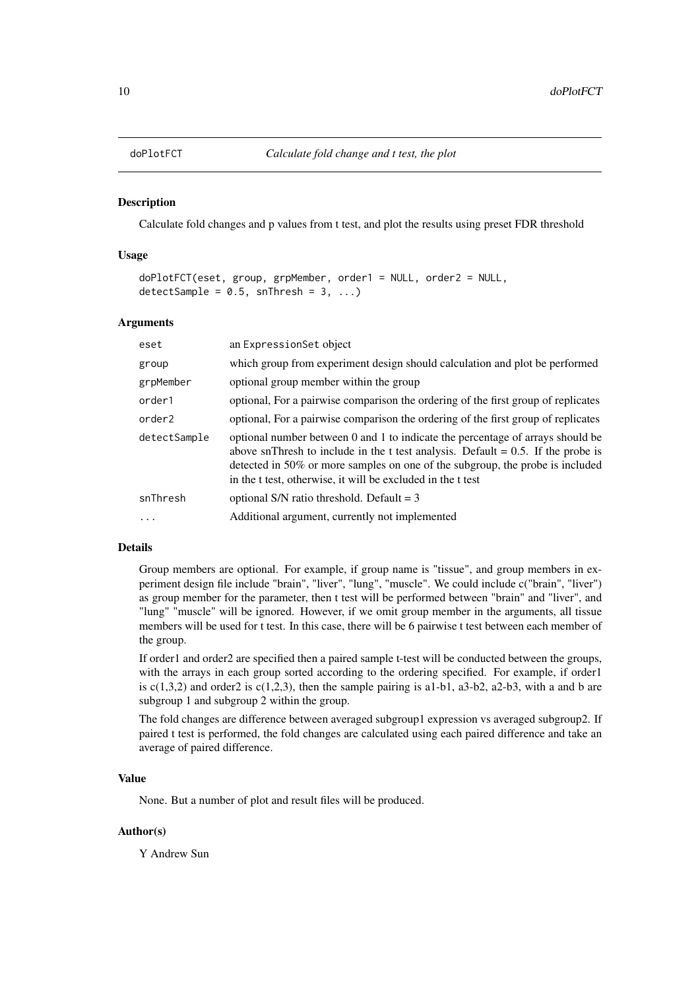<span id="page-9-0"></span>

Calculate fold changes and p values from t test, and plot the results using preset FDR threshold

#### Usage

```
doPlotFCT(eset, group, grpMember, order1 = NULL, order2 = NULL,
detectSample = 0.5, snThresh = 3, ...)
```
#### Arguments

| eset               | an ExpressionSet object                                                                                                                                                                                                                                                                                               |
|--------------------|-----------------------------------------------------------------------------------------------------------------------------------------------------------------------------------------------------------------------------------------------------------------------------------------------------------------------|
| group              | which group from experiment design should calculation and plot be performed                                                                                                                                                                                                                                           |
| grpMember          | optional group member within the group                                                                                                                                                                                                                                                                                |
| order1             | optional, For a pairwise comparison the ordering of the first group of replicates                                                                                                                                                                                                                                     |
| order <sub>2</sub> | optional, For a pairwise comparison the ordering of the first group of replicates                                                                                                                                                                                                                                     |
| detectSample       | optional number between 0 and 1 to indicate the percentage of arrays should be<br>above snThresh to include in the t test analysis. Default = $0.5$ . If the probe is<br>detected in 50% or more samples on one of the subgroup, the probe is included<br>in the t test, otherwise, it will be excluded in the t test |
| snThresh           | optional S/N ratio threshold. Default = $3$                                                                                                                                                                                                                                                                           |
| $\cdots$           | Additional argument, currently not implemented                                                                                                                                                                                                                                                                        |

#### Details

Group members are optional. For example, if group name is "tissue", and group members in experiment design file include "brain", "liver", "lung", "muscle". We could include c("brain", "liver") as group member for the parameter, then t test will be performed between "brain" and "liver", and "lung" "muscle" will be ignored. However, if we omit group member in the arguments, all tissue members will be used for t test. In this case, there will be 6 pairwise t test between each member of the group.

If order1 and order2 are specified then a paired sample t-test will be conducted between the groups, with the arrays in each group sorted according to the ordering specified. For example, if order1 is  $c(1,3,2)$  and order2 is  $c(1,2,3)$ , then the sample pairing is a1-b1, a3-b2, a2-b3, with a and b are subgroup 1 and subgroup 2 within the group.

The fold changes are difference between averaged subgroup1 expression vs averaged subgroup2. If paired t test is performed, the fold changes are calculated using each paired difference and take an average of paired difference.

#### Value

None. But a number of plot and result files will be produced.

# Author(s)

Y Andrew Sun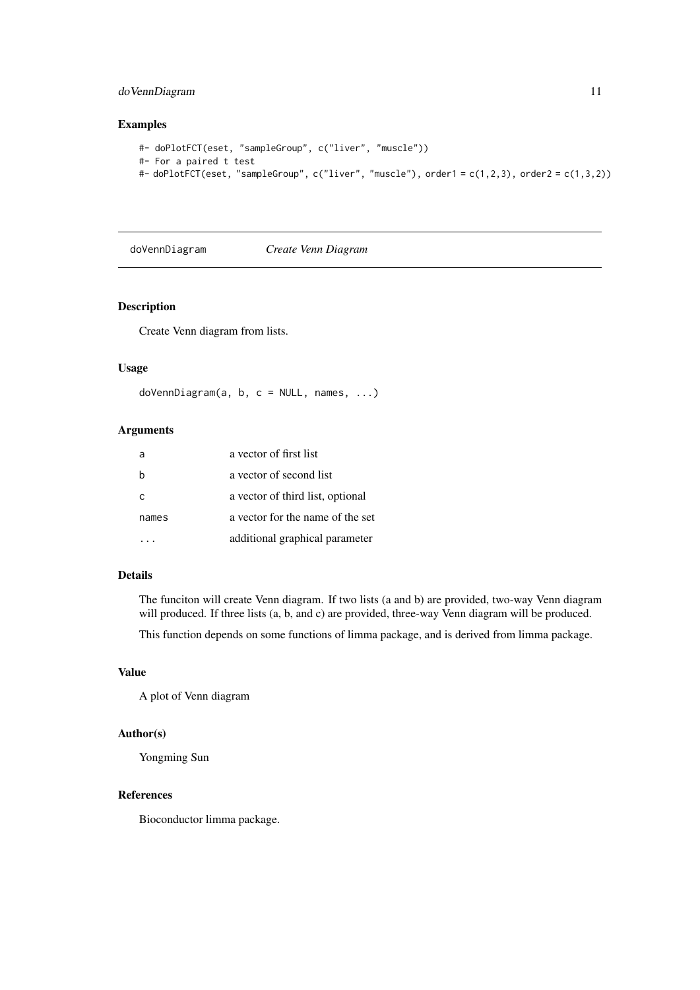#### <span id="page-10-0"></span>doVennDiagram 11

#### Examples

```
#- doPlotFCT(eset, "sampleGroup", c("liver", "muscle"))
#- For a paired t test
#- doPlotFCT(eset, "sampleGroup", c("liver", "muscle"), order1 = c(1,2,3), order2 = c(1,3,2))
```
doVennDiagram *Create Venn Diagram*

# Description

Create Venn diagram from lists.

#### Usage

doVennDiagram(a, b, c = NULL, names, ...)

# Arguments

|       | a vector of first list           |
|-------|----------------------------------|
| h     | a vector of second list          |
| C     | a vector of third list, optional |
| names | a vector for the name of the set |
|       | additional graphical parameter   |

# Details

The funciton will create Venn diagram. If two lists (a and b) are provided, two-way Venn diagram will produced. If three lists (a, b, and c) are provided, three-way Venn diagram will be produced.

This function depends on some functions of limma package, and is derived from limma package.

#### Value

A plot of Venn diagram

#### Author(s)

Yongming Sun

#### References

Bioconductor limma package.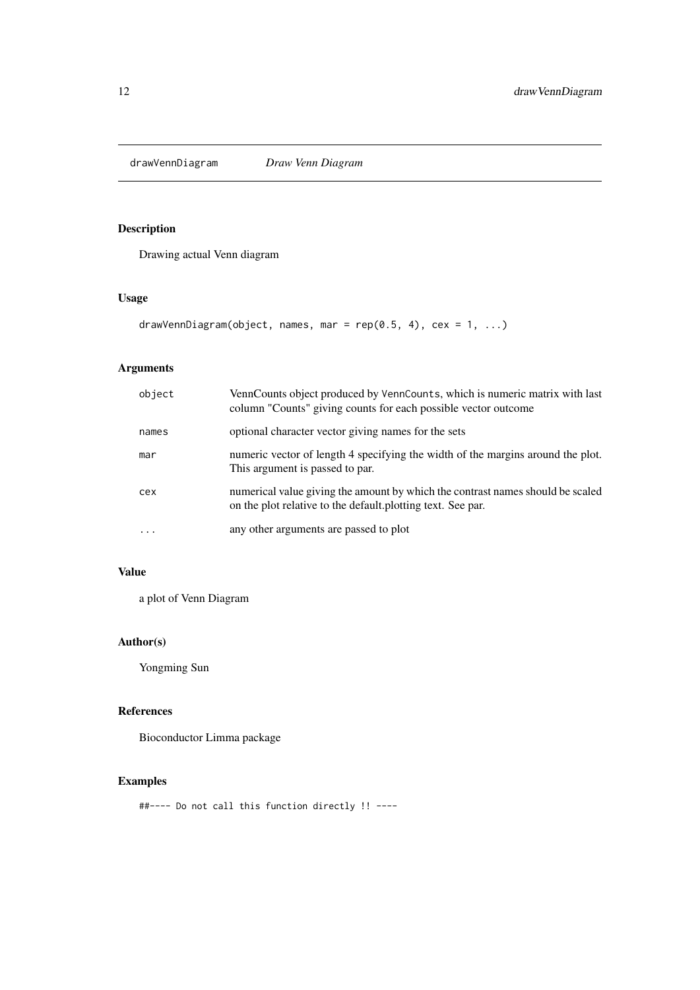<span id="page-11-0"></span>

Drawing actual Venn diagram

# Usage

```
drawVennDiagram(object, names, mar = rep(0.5, 4), cex = 1, ...)
```
# Arguments

| object    | VennCounts object produced by VennCounts, which is numeric matrix with last<br>column "Counts" giving counts for each possible vector outcome |
|-----------|-----------------------------------------------------------------------------------------------------------------------------------------------|
| names     | optional character vector giving names for the sets                                                                                           |
| mar       | numeric vector of length 4 specifying the width of the margins around the plot.<br>This argument is passed to par.                            |
| cex       | numerical value giving the amount by which the contrast names should be scaled<br>on the plot relative to the default plotting text. See par. |
| $\ddotsc$ | any other arguments are passed to plot                                                                                                        |

# Value

a plot of Venn Diagram

# Author(s)

Yongming Sun

# References

Bioconductor Limma package

# Examples

##---- Do not call this function directly !! ----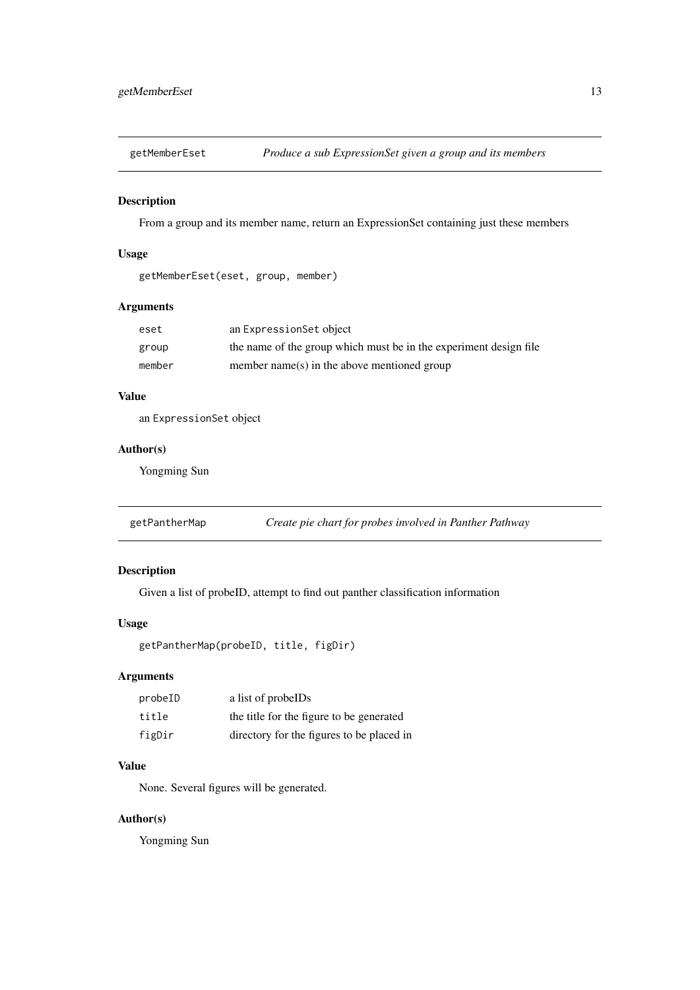<span id="page-12-0"></span>getMemberEset *Produce a sub ExpressionSet given a group and its members*

# Description

From a group and its member name, return an ExpressionSet containing just these members

# Usage

getMemberEset(eset, group, member)

#### Arguments

| eset   | an ExpressionSet object                                           |
|--------|-------------------------------------------------------------------|
| group  | the name of the group which must be in the experiment design file |
| member | member name(s) in the above mentioned group                       |

# Value

an ExpressionSet object

#### Author(s)

Yongming Sun

| getPantherMap |  |  |  |  |  |  | Create pie chart for probes involved in Panther Pathway |  |
|---------------|--|--|--|--|--|--|---------------------------------------------------------|--|
|---------------|--|--|--|--|--|--|---------------------------------------------------------|--|

# Description

Given a list of probeID, attempt to find out panther classification information

# Usage

getPantherMap(probeID, title, figDir)

#### Arguments

| probeID | a list of probelDs                        |
|---------|-------------------------------------------|
| title   | the title for the figure to be generated  |
| figDir  | directory for the figures to be placed in |

# Value

None. Several figures will be generated.

# Author(s)

Yongming Sun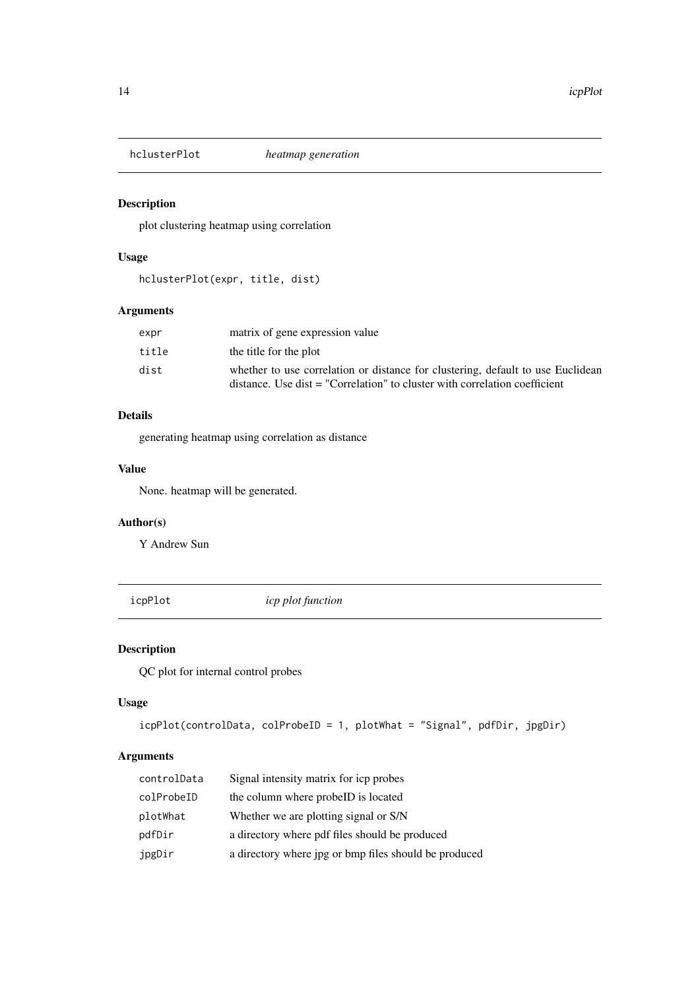<span id="page-13-0"></span>

plot clustering heatmap using correlation

# Usage

```
hclusterPlot(expr, title, dist)
```
#### Arguments

| expr  | matrix of gene expression value                                                                                                                               |
|-------|---------------------------------------------------------------------------------------------------------------------------------------------------------------|
| title | the title for the plot                                                                                                                                        |
| dist  | whether to use correlation or distance for clustering, default to use Euclidean<br>distance. Use dist = "Correlation" to cluster with correlation coefficient |

# Details

generating heatmap using correlation as distance

#### Value

None. heatmap will be generated.

# Author(s)

Y Andrew Sun

icpPlot *icp plot function*

# Description

QC plot for internal control probes

#### Usage

```
icpPlot(controlData, colProbeID = 1, plotWhat = "Signal", pdfDir, jpgDir)
```
# Arguments

| controlData | Signal intensity matrix for icp probes                |
|-------------|-------------------------------------------------------|
| colProbeID  | the column where probeID is located                   |
| plotWhat    | Whether we are plotting signal or S/N                 |
| pdfDir      | a directory where pdf files should be produced        |
| jpgDir      | a directory where jpg or bmp files should be produced |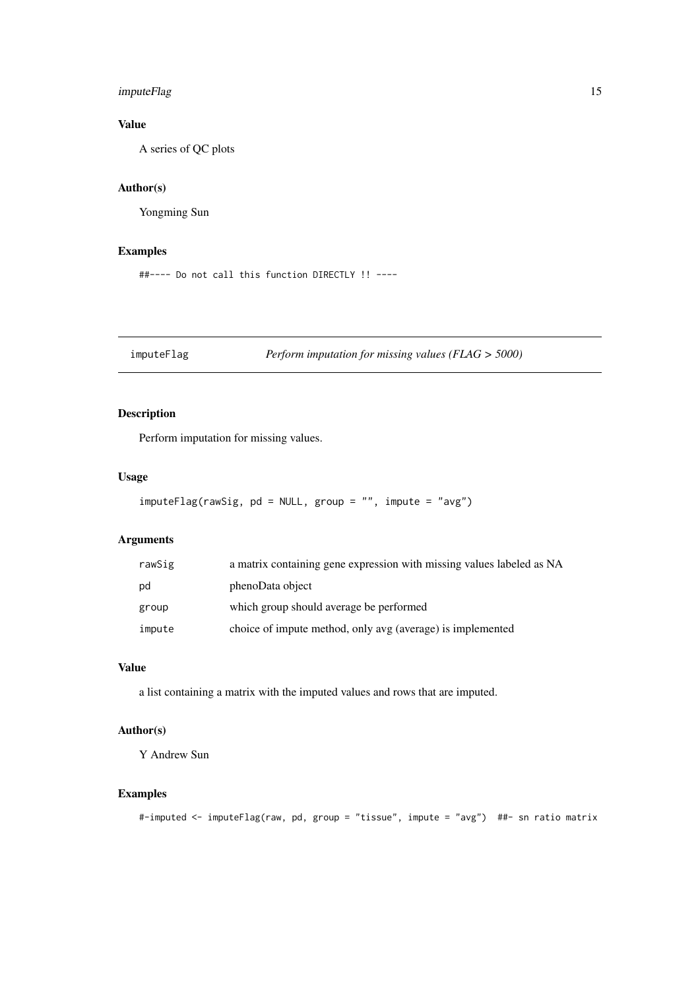#### <span id="page-14-0"></span>imputeFlag 15

# Value

A series of QC plots

# Author(s)

Yongming Sun

# Examples

```
##---- Do not call this function DIRECTLY !! ----
```
imputeFlag *Perform imputation for missing values (FLAG > 5000)*

#### Description

Perform imputation for missing values.

#### Usage

```
imputeFlag(rawSig, pd = NULL, group = "", impute = "avg")
```
# Arguments

| rawSig | a matrix containing gene expression with missing values labeled as NA |
|--------|-----------------------------------------------------------------------|
| pd     | phenoData object                                                      |
| group  | which group should average be performed                               |
| impute | choice of impute method, only avg (average) is implemented            |

# Value

a list containing a matrix with the imputed values and rows that are imputed.

# Author(s)

Y Andrew Sun

# Examples

```
#-imputed <- imputeFlag(raw, pd, group = "tissue", impute = "avg") ##- sn ratio matrix
```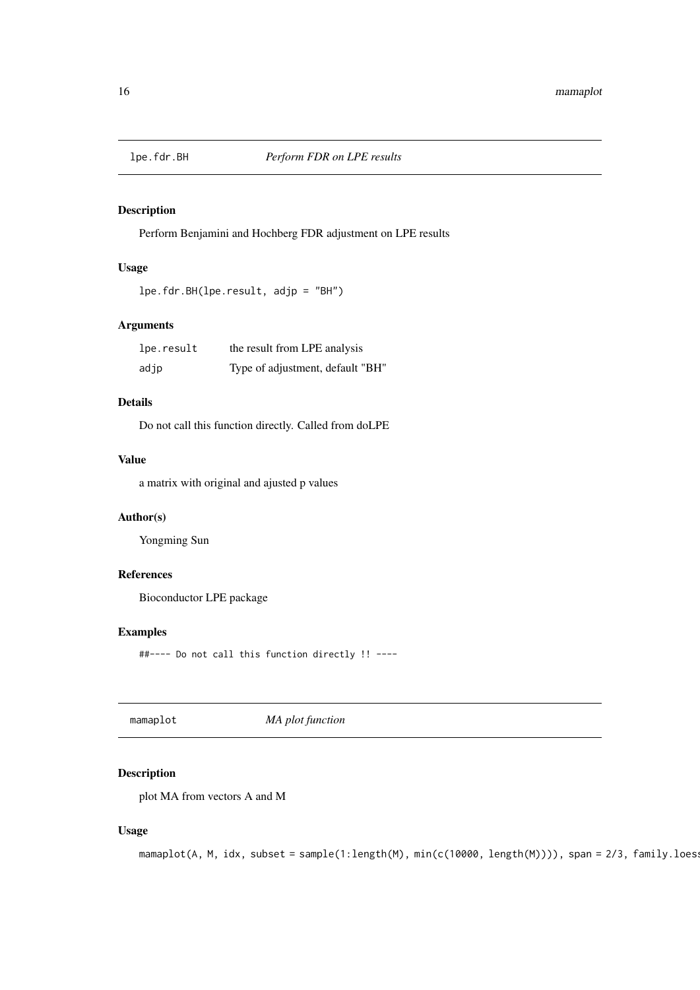<span id="page-15-0"></span>

Perform Benjamini and Hochberg FDR adjustment on LPE results

# Usage

```
lpe.fdr.BH(lpe.result, adjp = "BH")
```
#### Arguments

| lpe.result | the result from LPE analysis     |
|------------|----------------------------------|
| adjp       | Type of adjustment, default "BH" |

### Details

Do not call this function directly. Called from doLPE

# Value

a matrix with original and ajusted p values

#### Author(s)

Yongming Sun

#### References

Bioconductor LPE package

#### Examples

##---- Do not call this function directly !! ----

mamaplot *MA plot function*

# Description

plot MA from vectors A and M

# Usage

```
mamplot(A, M, idx, subset = sample(1:length(M), min(c(10000, length(M)))), span = 2/3, family.loes:
```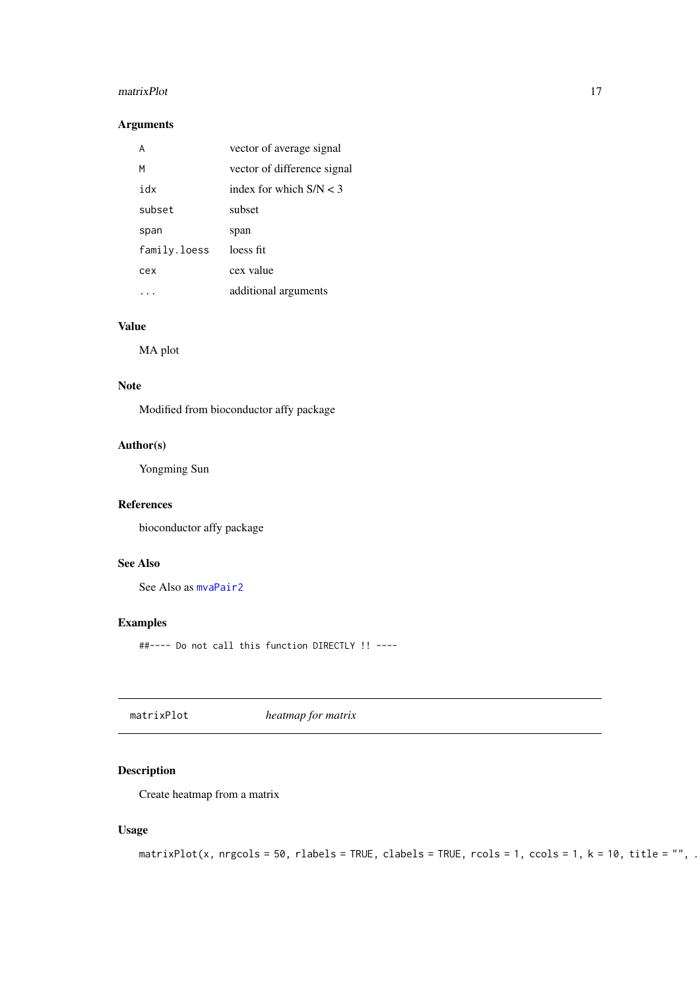#### <span id="page-16-0"></span>matrixPlot 17

#### Arguments

|              | vector of average signal    |
|--------------|-----------------------------|
| м            | vector of difference signal |
| idx          | index for which $S/N < 3$   |
| subset       | subset                      |
| span         | span                        |
| family.loess | loess fit                   |
| cex          | cex value                   |
|              | additional arguments        |

# Value

MA plot

# Note

Modified from bioconductor affy package

# Author(s)

Yongming Sun

### References

bioconductor affy package

# See Also

See Also as [mvaPair2](#page-17-1)

#### Examples

##---- Do not call this function DIRECTLY !! ----

matrixPlot *heatmap for matrix*

# Description

Create heatmap from a matrix

# Usage

```
matrixPlot(x, nrgcols = 50, rlabels = TRUE, clabels = TRUE, rcols = 1, ccols = 1, k = 10, title = "", .
```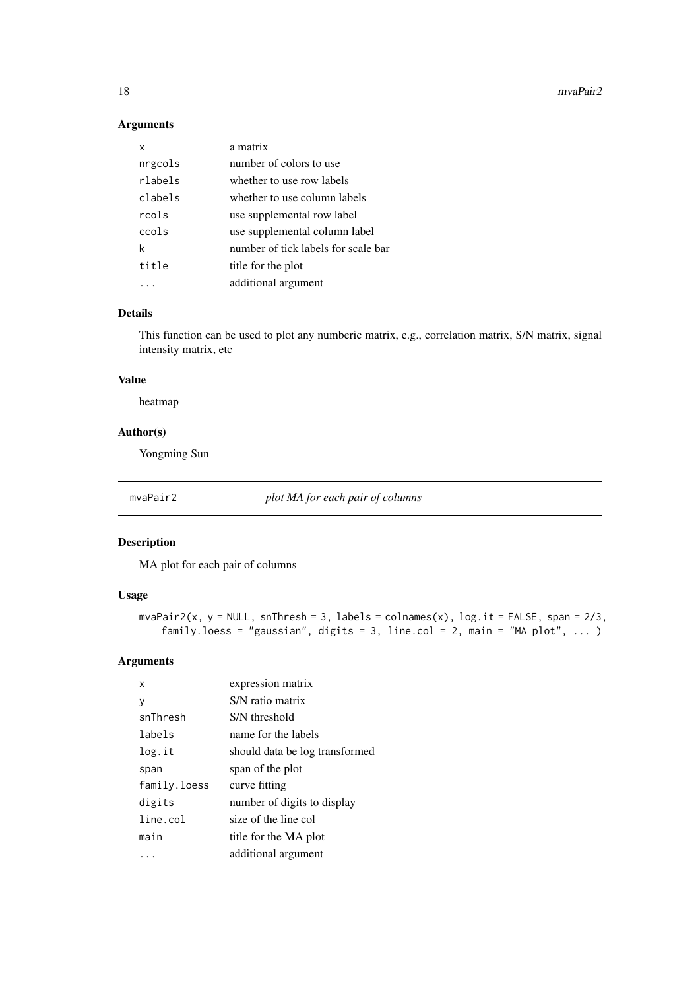<span id="page-17-0"></span>18 mvaPair2

#### Arguments

| x       | a matrix                            |
|---------|-------------------------------------|
| nrgcols | number of colors to use             |
| rlabels | whether to use row labels           |
| clabels | whether to use column labels        |
| rcols   | use supplemental row label          |
| ccols   | use supplemental column label       |
| k       | number of tick labels for scale bar |
| title   | title for the plot                  |
|         | additional argument                 |

#### Details

This function can be used to plot any numberic matrix, e.g., correlation matrix, S/N matrix, signal intensity matrix, etc

# Value

heatmap

#### Author(s)

Yongming Sun

<span id="page-17-1"></span>mvaPair2 *plot MA for each pair of columns*

#### Description

MA plot for each pair of columns

#### Usage

```
mvaPair2(x, y = NULL, snThresh = 3, labels = colnames(x), log.it = FALSE, span = 2/3,
    family.loess = "gaussian", digits = 3, line.col = 2, main = "MA plot", ... )
```
# Arguments

| x            | expression matrix              |
|--------------|--------------------------------|
| y            | S/N ratio matrix               |
| snThresh     | S/N threshold                  |
| labels       | name for the labels            |
| log.it       | should data be log transformed |
| span         | span of the plot               |
| family.loess | curve fitting                  |
| digits       | number of digits to display    |
| line.col     | size of the line col           |
| main         | title for the MA plot          |
|              | additional argument            |
|              |                                |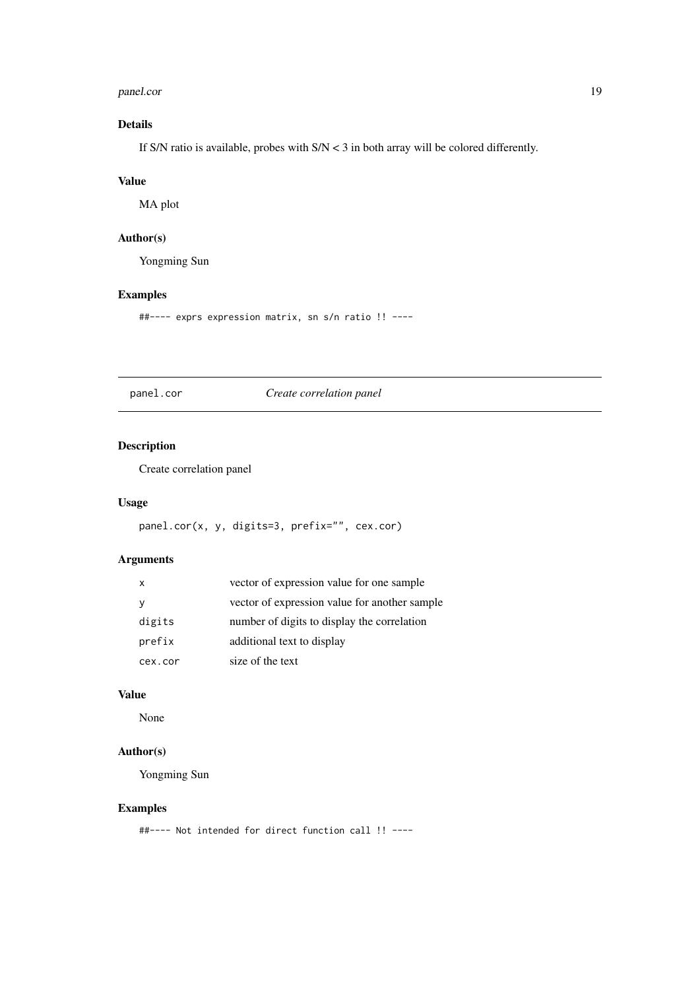#### <span id="page-18-0"></span>panel.cor and the contract of the contract of the contract of the contract of the contract of the contract of the contract of the contract of the contract of the contract of the contract of the contract of the contract of

# Details

If S/N ratio is available, probes with S/N < 3 in both array will be colored differently.

#### Value

MA plot

# Author(s)

Yongming Sun

# Examples

##---- exprs expression matrix, sn s/n ratio !! ----

panel.cor *Create correlation panel*

# Description

Create correlation panel

#### Usage

```
panel.cor(x, y, digits=3, prefix="", cex.cor)
```
#### Arguments

| $\mathsf{x}$ | vector of expression value for one sample     |
|--------------|-----------------------------------------------|
| У            | vector of expression value for another sample |
| digits       | number of digits to display the correlation   |
| prefix       | additional text to display                    |
| cex.cor      | size of the text                              |

# Value

None

# Author(s)

Yongming Sun

#### Examples

##---- Not intended for direct function call !! ----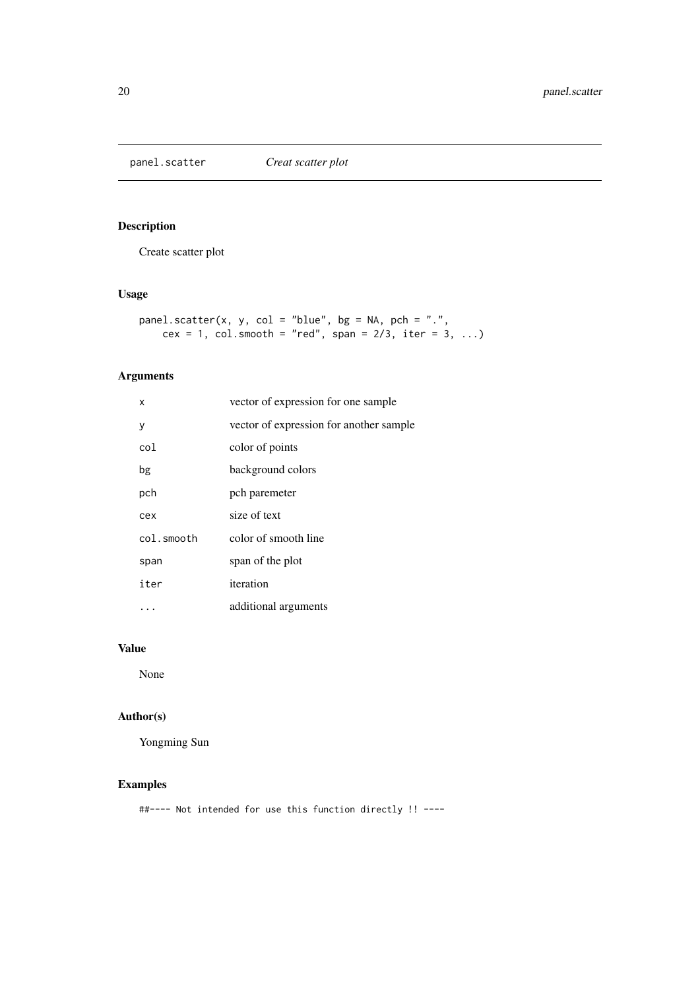<span id="page-19-0"></span>

Create scatter plot

# Usage

```
panel.scatter(x, y, col = "blue", bg = NA, pch = ".",cex = 1, col.smooth = "red", span = 2/3, iter = 3, ...)
```
# Arguments

| x          | vector of expression for one sample     |
|------------|-----------------------------------------|
| у          | vector of expression for another sample |
| col        | color of points                         |
| bg         | background colors                       |
| pch        | pch paremeter                           |
| cex        | size of text                            |
| col.smooth | color of smooth line                    |
| span       | span of the plot                        |
| iter       | iteration                               |
|            | additional arguments                    |

# Value

None

# Author(s)

Yongming Sun

# Examples

##---- Not intended for use this function directly !! ----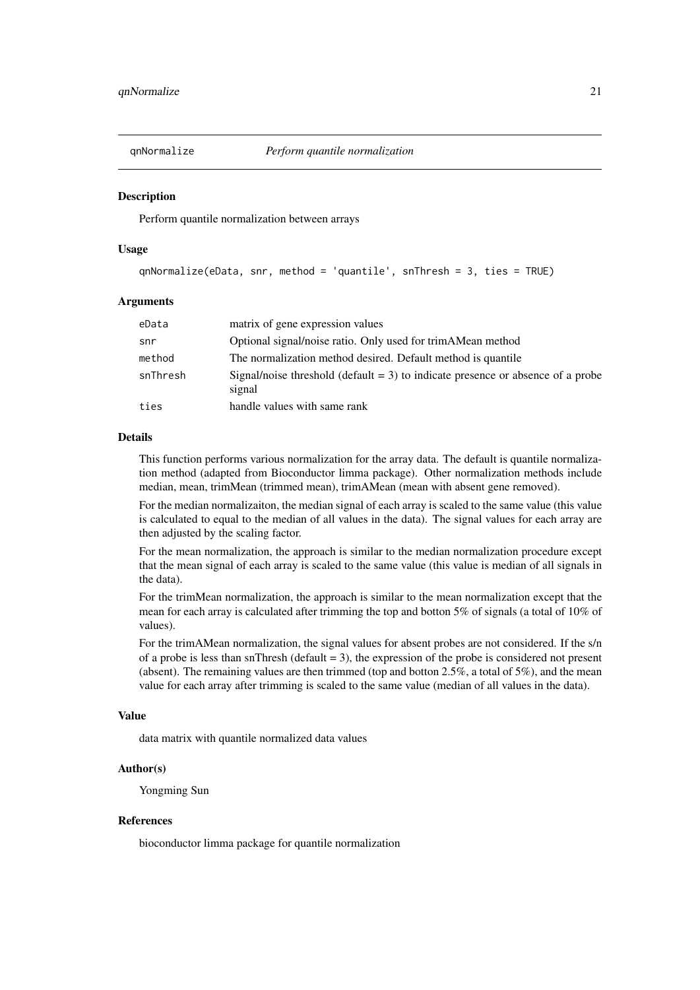<span id="page-20-0"></span>

Perform quantile normalization between arrays

#### Usage

```
qnNormalize(eData, snr, method = 'quantile', snThresh = 3, ties = TRUE)
```
#### Arguments

| eData    | matrix of gene expression values                                                             |
|----------|----------------------------------------------------------------------------------------------|
| snr      | Optional signal/noise ratio. Only used for trimAMean method                                  |
| method   | The normalization method desired. Default method is quantile                                 |
| snThresh | Signal/noise threshold (default $= 3$ ) to indicate presence or absence of a probe<br>signal |
| ties     | handle values with same rank                                                                 |

#### Details

This function performs various normalization for the array data. The default is quantile normalization method (adapted from Bioconductor limma package). Other normalization methods include median, mean, trimMean (trimmed mean), trimAMean (mean with absent gene removed).

For the median normalizaiton, the median signal of each array is scaled to the same value (this value is calculated to equal to the median of all values in the data). The signal values for each array are then adjusted by the scaling factor.

For the mean normalization, the approach is similar to the median normalization procedure except that the mean signal of each array is scaled to the same value (this value is median of all signals in the data).

For the trimMean normalization, the approach is similar to the mean normalization except that the mean for each array is calculated after trimming the top and botton 5% of signals (a total of 10% of values).

For the trimAMean normalization, the signal values for absent probes are not considered. If the s/n of a probe is less than snThresh (default = 3), the expression of the probe is considered not present (absent). The remaining values are then trimmed (top and botton 2.5%, a total of 5%), and the mean value for each array after trimming is scaled to the same value (median of all values in the data).

#### Value

data matrix with quantile normalized data values

#### Author(s)

Yongming Sun

#### References

bioconductor limma package for quantile normalization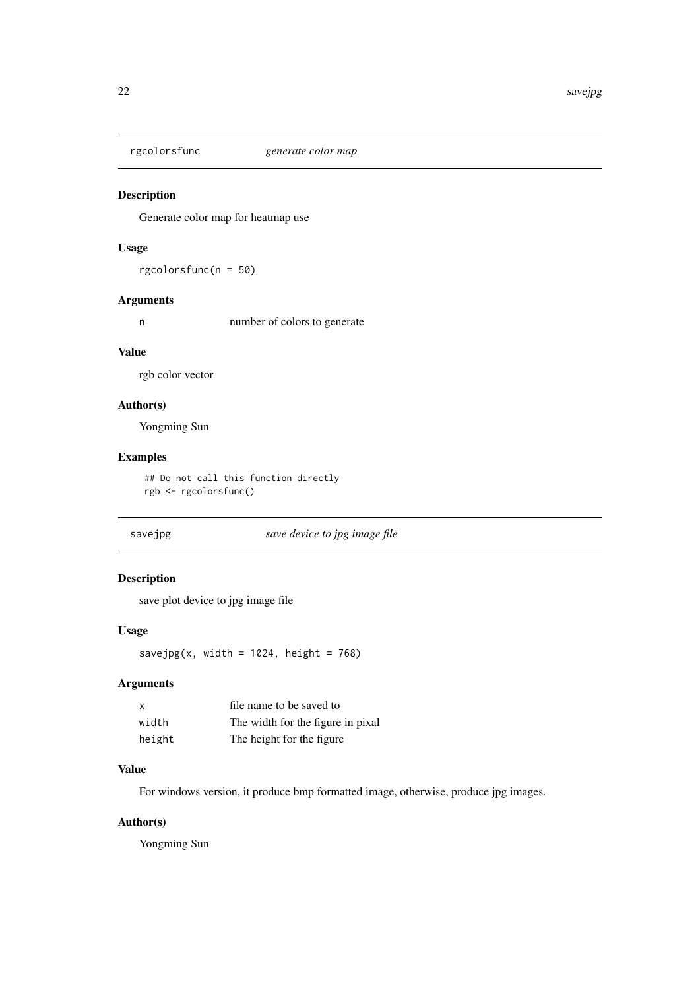<span id="page-21-0"></span>rgcolorsfunc *generate color map*

## Description

Generate color map for heatmap use

### Usage

rgcolorsfunc(n = 50)

#### Arguments

n number of colors to generate

#### Value

rgb color vector

# Author(s)

Yongming Sun

# Examples

## Do not call this function directly rgb <- rgcolorsfunc()

savejpg *save device to jpg image file*

#### Description

save plot device to jpg image file

#### Usage

savejpg(x, width =  $1024$ , height = 768)

#### Arguments

| x      | file name to be saved to          |
|--------|-----------------------------------|
| width  | The width for the figure in pixal |
| height | The height for the figure         |

#### Value

For windows version, it produce bmp formatted image, otherwise, produce jpg images.

#### Author(s)

Yongming Sun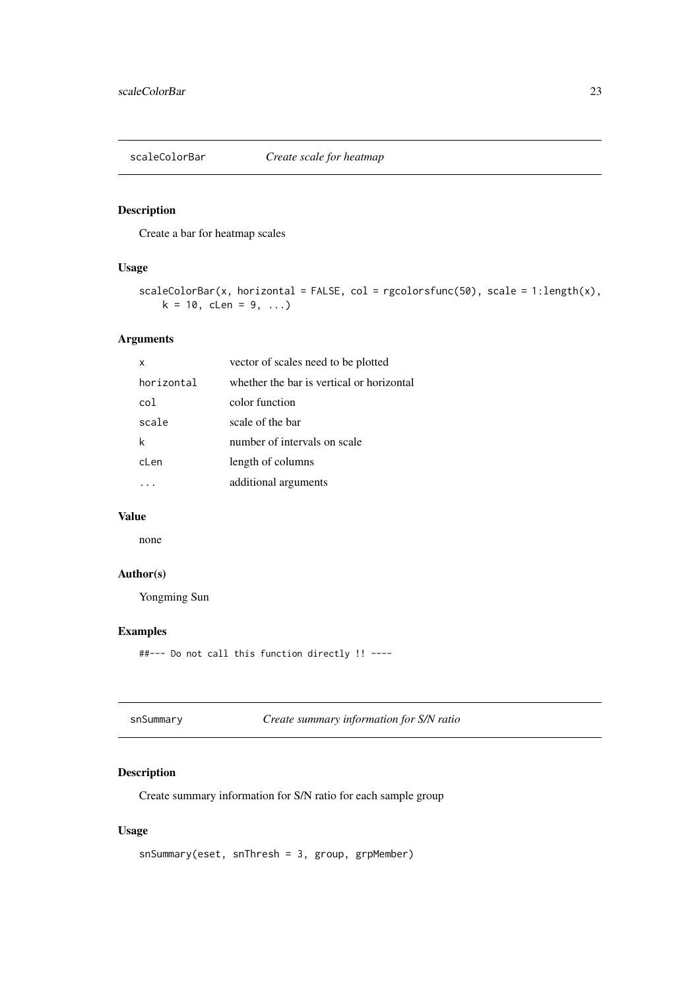<span id="page-22-0"></span>

Create a bar for heatmap scales

#### Usage

```
scaleColorBar(x, horizontal = FALSE, col = rgeolorsfunc(50), scale = 1:length(x),k = 10, cLen = 9, ...)
```
#### Arguments

| x               | vector of scales need to be plotted       |
|-----------------|-------------------------------------------|
| horizontal      | whether the bar is vertical or horizontal |
| co <sub>1</sub> | color function                            |
| scale           | scale of the bar                          |
|                 | number of intervals on scale              |
| cLen            | length of columns                         |
|                 | additional arguments                      |
|                 |                                           |

# Value

none

# Author(s)

Yongming Sun

#### Examples

##--- Do not call this function directly !! ----

snSummary *Create summary information for S/N ratio*

# Description

Create summary information for S/N ratio for each sample group

# Usage

```
snSummary(eset, snThresh = 3, group, grpMember)
```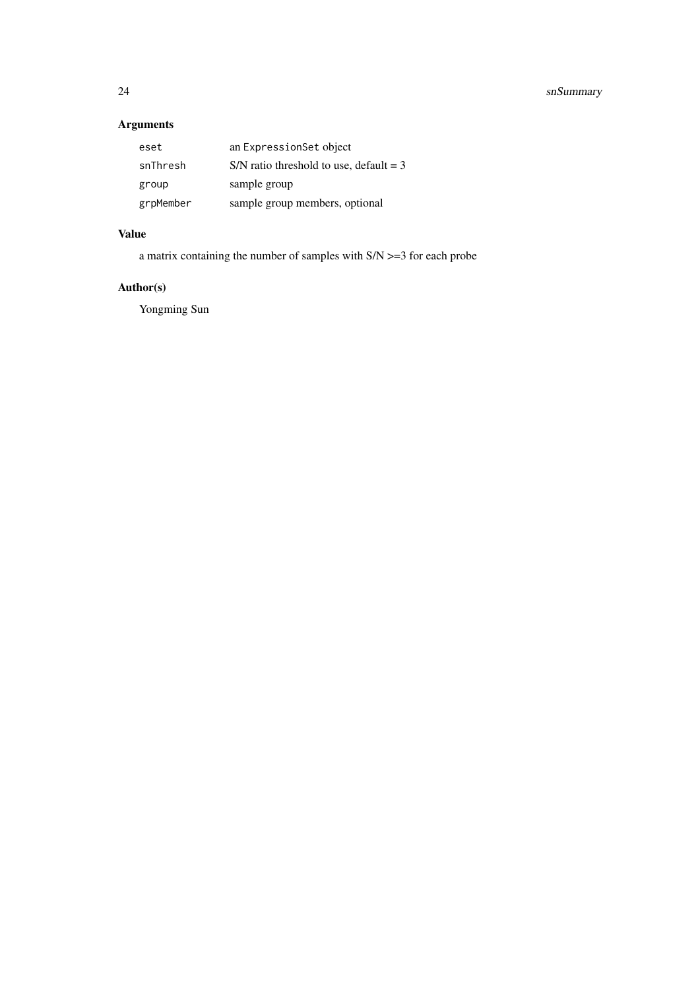# Arguments

| eset      | an ExpressionSet object                   |
|-----------|-------------------------------------------|
| snThresh  | S/N ratio threshold to use, default $=$ 3 |
| group     | sample group                              |
| grpMember | sample group members, optional            |

# Value

a matrix containing the number of samples with S/N >=3 for each probe

# Author(s)

Yongming Sun